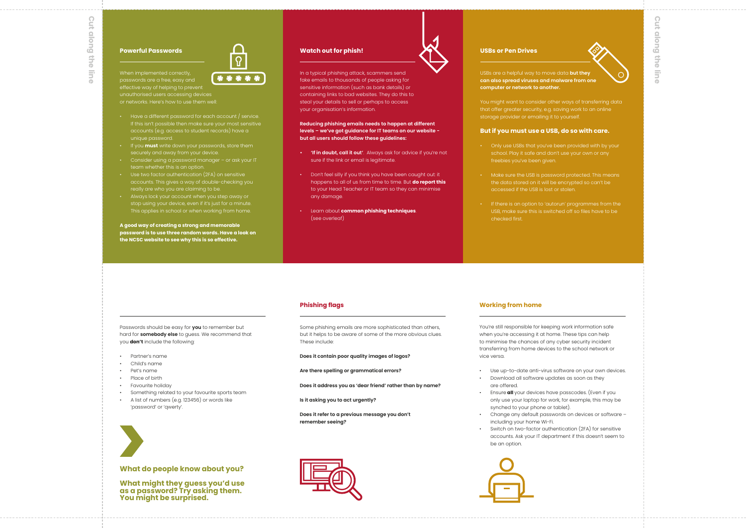When implemented correctly, \*\*\*\*\* effective way of helping to prevent unauthorised users accessing devices

- If this isn't possible then make sure your most sensitive accounts (e.g. access to student records) have a unique password.
- If you **must** write down your passwords, store them
- Consider using a password manager or ask your IT team whether this is an option.
- Use two factor authentication (2FA) on sensitive accounts. This gives a way of double-checking you really are who you are claiming to be.
- Always lock your account when you step away or stop using your device, even if it's just for a minute. This applies in school or when working from home.

**A good way of creating a strong and memorable password is to use three random words. Have a look on the NCSC website to see why this is so effective.**

## **Powerful Passwords**

#### Passwords should be easy for **you** to remember but hard for **somebody else** to guess. We recommend that you **don't** include the following:

- Partner's name
- Child's name
- Pet's name
- Place of birth
- Favourite holiday
- Something related to your favourite sports team
- A list of numbers (e.g. 123456) or words like 'password' or 'qwerty'.

### **What do people know about you?**

**What might they guess you'd use as a password? Try asking them. You might be surprised.**





Switch on two-factor authentication (2FA) for sensitive

 $\Omega$ **Cut along the line**buojo <sub>in:</sub> Ithe lin

In a typical phishing attack, scammers send fake emails to thousands of people asking for sensitive information (such as bank details) or containing links to bad websites. They do this to steal your details to sell or perhaps to access your organisation's information.

**Reducing phishing emails needs to happen at different levels – we've got guidance for IT teams on our website but all users should follow these guidelines:**

- **'If in doubt, call it out'**. Always ask for advice if you're not sure if the link or email is legitimate.
- Don't feel silly if you think you have been caught out: it happens to all of us from time to time. But **do report this** to your Head Teacher or IT team so they can minimise any damage.
- Learn about **common phishing techniques**. (see overleaf)

#### **Watch out for phish!**

USBs are a helpful way to move data **but they can also spread viruses and malware from one computer or network to another.**

You might want to consider other ways of transferring data that offer greater security, e.g. saving work to an online storage provider or emailing it to yourself.

## **But if you must use a USB, do so with care.**

- Only use USBs that you've been provided with by your freebies you've been given.
- Make sure the USB is password protected. This means the data stored on it will be encrypted so can't be accessed if the USB is lost or stolen.
- If there is an option to 'autorun' programmes from the USB, make sure this is switched off so files have to be checked first.

#### **USBs or Pen Drives**

Some phishing emails are more sophisticated than others, but it helps to be aware of some of the more obvious clues. These include:

#### **Phishing flags**

**Does it contain poor quality images of logos?** 

**Are there spelling or grammatical errors?**

**Does it address you as 'dear friend' rather than by name?** 

**Is it asking you to act urgently?**

**Does it refer to a previous message you don't remember seeing?**

You're still responsible for keeping work information safe when you're accessing it at home. These tips can help to minimise the chances of any cyber security incident transferring from home devices to the school network or vice versa.

- Use up-to-date anti-virus software on your own devices.
- Download all software updates as soon as they are offered.
- Ensure **all** your devices have passcodes. (Even if you only use your laptop for work, for example, this may be synched to your phone or tablet).
- Change any default passwords on devices or software including your home Wi-Fi.
- accounts. Ask your IT department if this doesn't seem to be an option.



**Working from home**